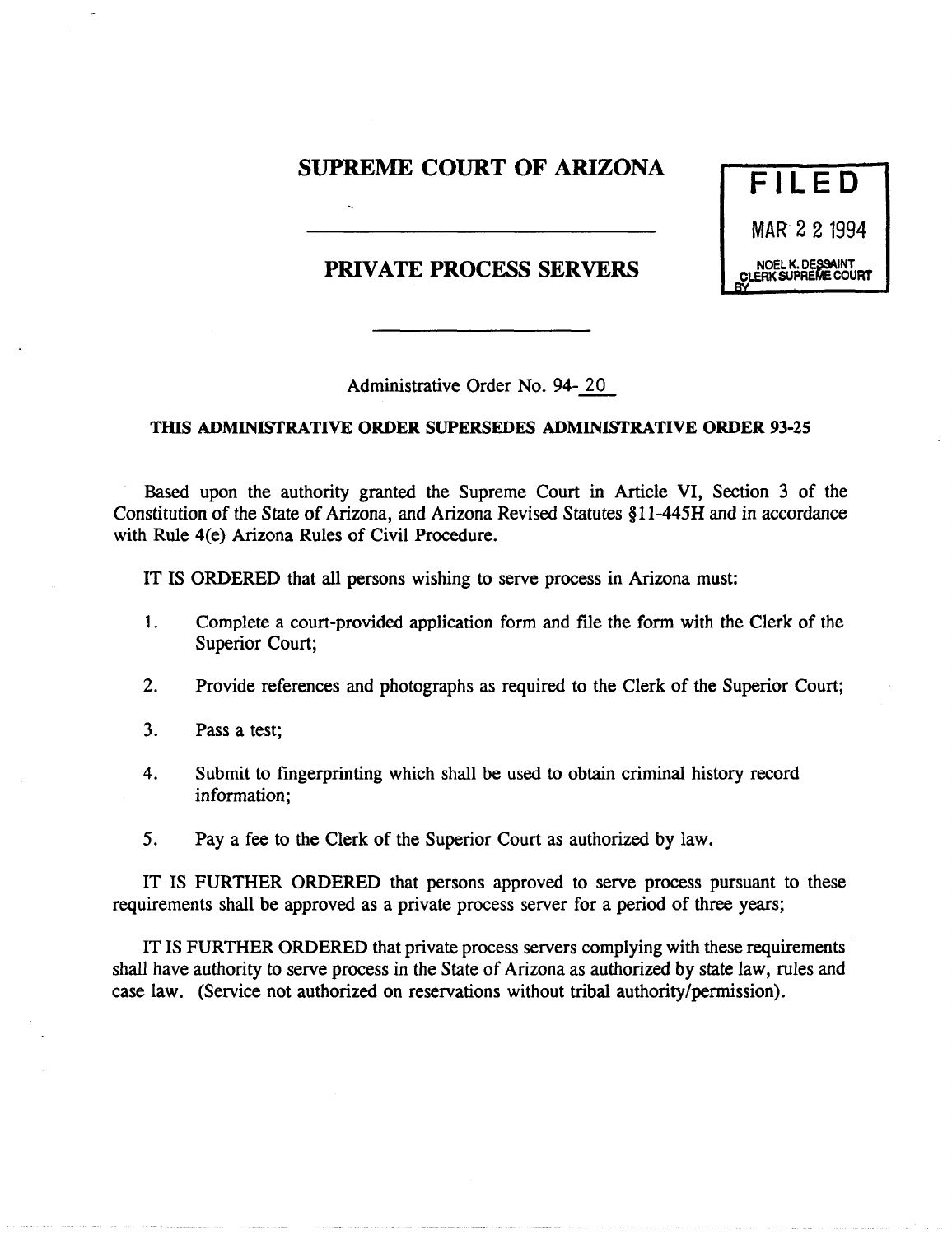## SUPREME COURT OF ARIZONA

PRIVATE PROCESS SERVERS



Administrative Order No. 94- 20

## TIllS ADMINISTRATIVE ORDER SUPERSEDES ADMINISTRATIVE ORDER 93-25

Based upon the authority granted the Supreme Court in Article VI, Section 3 of the Constitution of the State of Arizona, and Arizona Revised Statutes § 11-445H and in accordance with Rule 4(e) Arizona Rules of Civil Procedure.

IT IS ORDERED that all persons wishing to serve process in Arizona must:

- 1. Complete a court-provided application form and file the form with the Clerk of the Superior Court;
- 2. Provide references and photographs as required to the Clerk of the Superior Court;
- 3. Pass a test;
- 4. Submit to fingerprinting which shall be used to obtain criminal history record information;
- 5. Pay a fee to the Clerk of the Superior Court as authorized by iaw.

IT IS FURTHER ORDERED that persons approved to serve process pursuant to these requirements shall be approved as a private process server for a period of three years;

IT IS FURTHER ORDERED that private process servers complying with these requirements shall have authority to serve process in the State of Arizona as authorized by state law, rules and case law. (Service not authorized on reservations without tribal authority/permission).